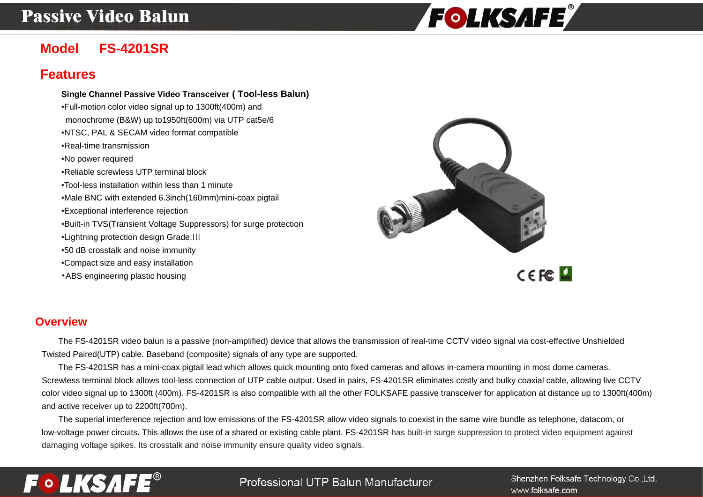# **Passive Video Balun**



# **Model FS-4201SR**

## **Features**

#### **Single Channel Passive Video Transceiver ( Tool-less Balun)**  •Full-motion color video signal up to 1300ft(400m) and monochrome (B&W) up to1950ft(600m) via UTP cat5e/6 •NTSC, PAL & SECAM video format compatible •Real-time transmission •No power required •Reliable screwless UTP terminal block •Tool-less installation within less than 1 minute •Male BNC with extended 6.3inch(160mm)mini-coax pigtail •Exceptional interference rejection •Built-in TVS(Transient Voltage Suppressors) for surge protection •Lightning protection design Grade:Ⅲ •50 dB crosstalk and noise immunity •Compact size and easy installation •ABS engineering plastic housing



#### **Overview**

The FS-4201SR video balun is a passive (non-amplified) device that allows the transmission of real-time CCTV video signal via cost-effective Unshielded Twisted Paired(UTP) cable. Baseband (composite) signals of any type are supported.

The FS-4201SR has a mini-coax pigtail lead which allows quick mounting onto fixed cameras and allows in-camera mounting in most dome cameras. Screwless terminal block allows tool-less connection of UTP cable output. Used in pairs, FS-4201SR eliminates costly and bulky coaxial cable, allowing live CCTV color video signal up to 1300ft (400m). FS-4201SR is also compatible with all the other FOLKSAFE passive transceiver for application at distance up to 1300ft(400m) and active receiver up to 2200ft(700m).

The superial interference rejection and low emissions of the FS-4201SR allow video signals to coexist in the same wire bundle as telephone, datacom, or low-voltage power circuits. This allows the use of a shared or existing cable plant. FS-4201SR has built-in surge suppression to protect video equipment against damaging voltage spikes. Its crosstalk and noise immunity ensure quality video signals.



### Professional UTP Balun Manufacturer

Shenzhen Folksafe Technology Co., Ltd. www.folksafe.com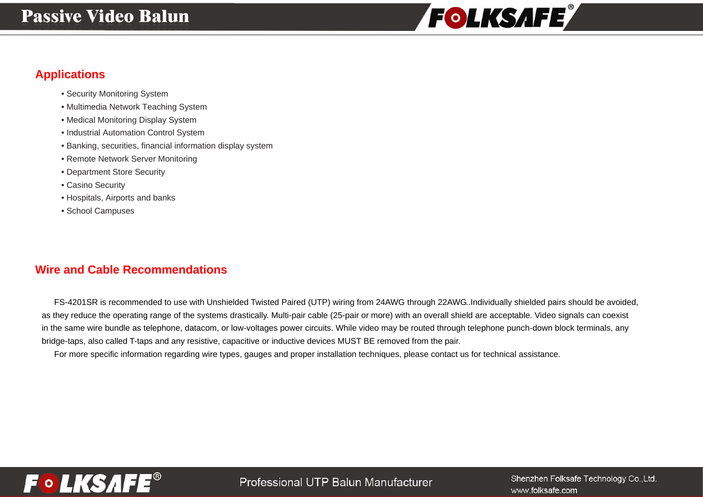# **Passive Video Balun**



## **Applications**

- Security Monitoring System
- Multimedia Network Teaching System
- Medical Monitoring Display System
- Industrial Automation Control System
- Banking, securities, financial information display system
- Remote Network Server Monitoring
- Department Store Security
- Casino Security
- Hospitals, Airports and banks
- School Campuses

## **Wire and Cable Recommendations**

FS-4201SR is recommended to use with Unshielded Twisted Paired (UTP) wiring from 24AWG through 22AWG..Individually shielded pairs should be avoided, as they reduce the operating range of the systems drastically. Multi-pair cable (25-pair or more) with an overall shield are acceptable. Video signals can coexist in the same wire bundle as telephone, datacom, or low-voltages power circuits. While video may be routed through telephone punch-down block terminals, any bridge-taps, also called T-taps and any resistive, capacitive or inductive devices MUST BE removed from the pair.

For more specific information regarding wire types, gauges and proper installation techniques, please contact us for technical assistance.



Shenzhen Folksafe Technology Co., Ltd. www.folksafe.com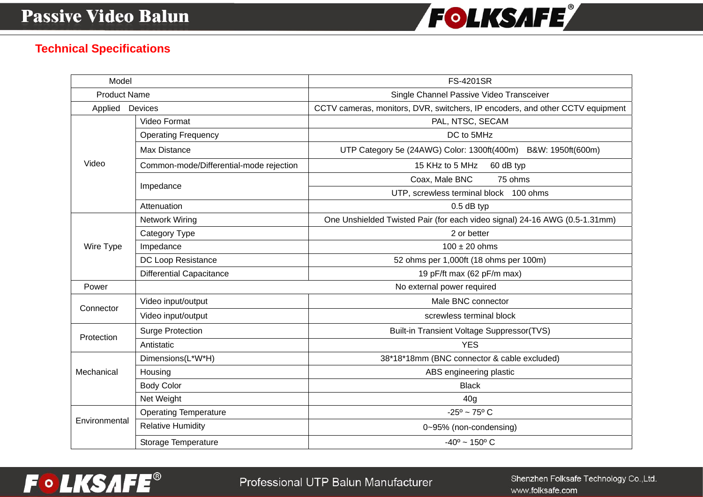

## **Technical Specifications**

| Model               |                                         | <b>FS-4201SR</b>                                                              |
|---------------------|-----------------------------------------|-------------------------------------------------------------------------------|
| <b>Product Name</b> |                                         | Single Channel Passive Video Transceiver                                      |
| Applied Devices     |                                         | CCTV cameras, monitors, DVR, switchers, IP encoders, and other CCTV equipment |
| Video               | Video Format                            | PAL, NTSC, SECAM                                                              |
|                     | <b>Operating Frequency</b>              | DC to 5MHz                                                                    |
|                     | <b>Max Distance</b>                     | UTP Category 5e (24AWG) Color: 1300ft(400m) B&W: 1950ft(600m)                 |
|                     | Common-mode/Differential-mode rejection | 15 KHz to 5 MHz<br>60 dB typ                                                  |
|                     | Impedance                               | Coax, Male BNC<br>75 ohms                                                     |
|                     |                                         | UTP, screwless terminal block 100 ohms                                        |
|                     | Attenuation                             | $0.5$ dB typ                                                                  |
| Wire Type           | Network Wiring                          | One Unshielded Twisted Pair (for each video signal) 24-16 AWG (0.5-1.31mm)    |
|                     | Category Type                           | 2 or better                                                                   |
|                     | Impedance                               | $100 \pm 20$ ohms                                                             |
|                     | DC Loop Resistance                      | 52 ohms per 1,000ft (18 ohms per 100m)                                        |
|                     | <b>Differential Capacitance</b>         | 19 pF/ft max (62 pF/m max)                                                    |
| Power               |                                         | No external power required                                                    |
| Connector           | Video input/output                      | Male BNC connector                                                            |
|                     | Video input/output                      | screwless terminal block                                                      |
| Protection          | <b>Surge Protection</b>                 | Built-in Transient Voltage Suppressor(TVS)                                    |
|                     | Antistatic                              | <b>YES</b>                                                                    |
| Mechanical          | Dimensions(L*W*H)                       | 38*18*18mm (BNC connector & cable excluded)                                   |
|                     | Housing                                 | ABS engineering plastic                                                       |
|                     | <b>Body Color</b>                       | <b>Black</b>                                                                  |
|                     | Net Weight                              | 40 <sub>g</sub>                                                               |
| Environmental       | <b>Operating Temperature</b>            | $-25^{\circ} \sim 75^{\circ}$ C                                               |
|                     | <b>Relative Humidity</b>                | 0~95% (non-condensing)                                                        |
|                     | Storage Temperature                     | $-40^{\circ}$ ~ 150° C                                                        |



Shenzhen Folksafe Technology Co.,Ltd. www.folksafe.com